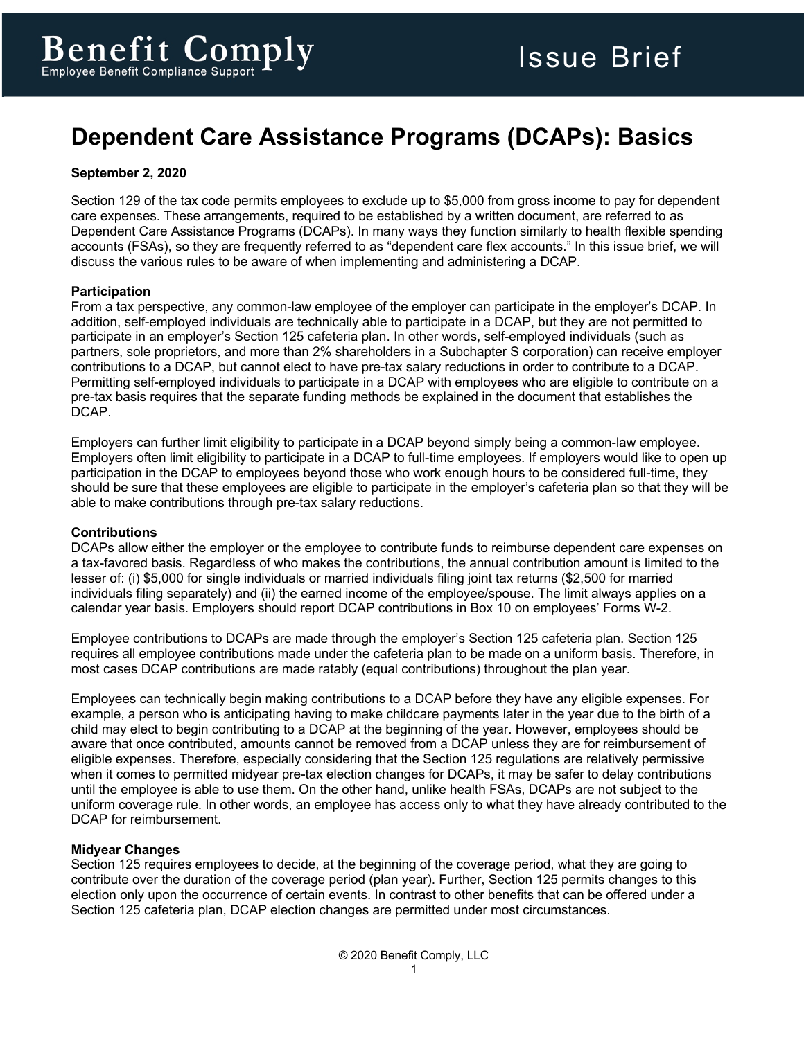# **Dependent Care Assistance Programs (DCAPs): Basics**

# **September 2, 2020**

Section 129 of the tax code permits employees to exclude up to \$5,000 from gross income to pay for dependent care expenses. These arrangements, required to be established by a written document, are referred to as Dependent Care Assistance Programs (DCAPs). In many ways they function similarly to health flexible spending accounts (FSAs), so they are frequently referred to as "dependent care flex accounts." In this issue brief, we will discuss the various rules to be aware of when implementing and administering a DCAP.

## **Participation**

From a tax perspective, any common-law employee of the employer can participate in the employer's DCAP. In addition, self-employed individuals are technically able to participate in a DCAP, but they are not permitted to participate in an employer's Section 125 cafeteria plan. In other words, self-employed individuals (such as partners, sole proprietors, and more than 2% shareholders in a Subchapter S corporation) can receive employer contributions to a DCAP, but cannot elect to have pre-tax salary reductions in order to contribute to a DCAP. Permitting self-employed individuals to participate in a DCAP with employees who are eligible to contribute on a pre-tax basis requires that the separate funding methods be explained in the document that establishes the DCAP.

Employers can further limit eligibility to participate in a DCAP beyond simply being a common-law employee. Employers often limit eligibility to participate in a DCAP to full-time employees. If employers would like to open up participation in the DCAP to employees beyond those who work enough hours to be considered full-time, they should be sure that these employees are eligible to participate in the employer's cafeteria plan so that they will be able to make contributions through pre-tax salary reductions.

#### **Contributions**

DCAPs allow either the employer or the employee to contribute funds to reimburse dependent care expenses on a tax-favored basis. Regardless of who makes the contributions, the annual contribution amount is limited to the lesser of: (i) \$5,000 for single individuals or married individuals filing joint tax returns (\$2,500 for married individuals filing separately) and (ii) the earned income of the employee/spouse. The limit always applies on a calendar year basis. Employers should report DCAP contributions in Box 10 on employees' Forms W-2.

Employee contributions to DCAPs are made through the employer's Section 125 cafeteria plan. Section 125 requires all employee contributions made under the cafeteria plan to be made on a uniform basis. Therefore, in most cases DCAP contributions are made ratably (equal contributions) throughout the plan year.

Employees can technically begin making contributions to a DCAP before they have any eligible expenses. For example, a person who is anticipating having to make childcare payments later in the year due to the birth of a child may elect to begin contributing to a DCAP at the beginning of the year. However, employees should be aware that once contributed, amounts cannot be removed from a DCAP unless they are for reimbursement of eligible expenses. Therefore, especially considering that the Section 125 regulations are relatively permissive when it comes to permitted midyear pre-tax election changes for DCAPs, it may be safer to delay contributions until the employee is able to use them. On the other hand, unlike health FSAs, DCAPs are not subject to the uniform coverage rule. In other words, an employee has access only to what they have already contributed to the DCAP for reimbursement.

#### **Midyear Changes**

Section 125 requires employees to decide, at the beginning of the coverage period, what they are going to contribute over the duration of the coverage period (plan year). Further, Section 125 permits changes to this election only upon the occurrence of certain events. In contrast to other benefits that can be offered under a Section 125 cafeteria plan, DCAP election changes are permitted under most circumstances.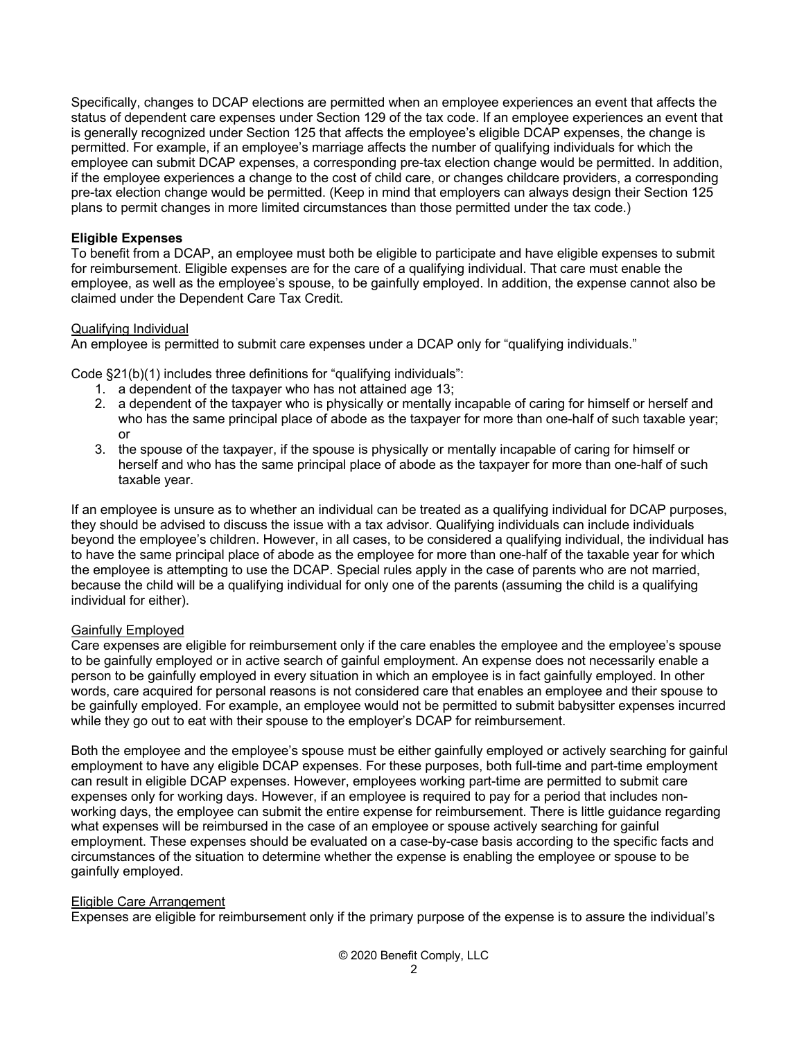Specifically, changes to DCAP elections are permitted when an employee experiences an event that affects the status of dependent care expenses under Section 129 of the tax code. If an employee experiences an event that is generally recognized under Section 125 that affects the employee's eligible DCAP expenses, the change is permitted. For example, if an employee's marriage affects the number of qualifying individuals for which the employee can submit DCAP expenses, a corresponding pre-tax election change would be permitted. In addition, if the employee experiences a change to the cost of child care, or changes childcare providers, a corresponding pre-tax election change would be permitted. (Keep in mind that employers can always design their Section 125 plans to permit changes in more limited circumstances than those permitted under the tax code.)

## **Eligible Expenses**

To benefit from a DCAP, an employee must both be eligible to participate and have eligible expenses to submit for reimbursement. Eligible expenses are for the care of a qualifying individual. That care must enable the employee, as well as the employee's spouse, to be gainfully employed. In addition, the expense cannot also be claimed under the Dependent Care Tax Credit.

## Qualifying Individual

An employee is permitted to submit care expenses under a DCAP only for "qualifying individuals."

Code §21(b)(1) includes three definitions for "qualifying individuals":

- 1. a dependent of the taxpayer who has not attained age 13;
- 2. a dependent of the taxpayer who is physically or mentally incapable of caring for himself or herself and who has the same principal place of abode as the taxpayer for more than one-half of such taxable year; or
- 3. the spouse of the taxpayer, if the spouse is physically or mentally incapable of caring for himself or herself and who has the same principal place of abode as the taxpayer for more than one-half of such taxable year.

If an employee is unsure as to whether an individual can be treated as a qualifying individual for DCAP purposes, they should be advised to discuss the issue with a tax advisor. Qualifying individuals can include individuals beyond the employee's children. However, in all cases, to be considered a qualifying individual, the individual has to have the same principal place of abode as the employee for more than one-half of the taxable year for which the employee is attempting to use the DCAP. Special rules apply in the case of parents who are not married, because the child will be a qualifying individual for only one of the parents (assuming the child is a qualifying individual for either).

# Gainfully Employed

Care expenses are eligible for reimbursement only if the care enables the employee and the employee's spouse to be gainfully employed or in active search of gainful employment. An expense does not necessarily enable a person to be gainfully employed in every situation in which an employee is in fact gainfully employed. In other words, care acquired for personal reasons is not considered care that enables an employee and their spouse to be gainfully employed. For example, an employee would not be permitted to submit babysitter expenses incurred while they go out to eat with their spouse to the employer's DCAP for reimbursement.

Both the employee and the employee's spouse must be either gainfully employed or actively searching for gainful employment to have any eligible DCAP expenses. For these purposes, both full-time and part-time employment can result in eligible DCAP expenses. However, employees working part-time are permitted to submit care expenses only for working days. However, if an employee is required to pay for a period that includes nonworking days, the employee can submit the entire expense for reimbursement. There is little guidance regarding what expenses will be reimbursed in the case of an employee or spouse actively searching for gainful employment. These expenses should be evaluated on a case-by-case basis according to the specific facts and circumstances of the situation to determine whether the expense is enabling the employee or spouse to be gainfully employed.

#### Eligible Care Arrangement

Expenses are eligible for reimbursement only if the primary purpose of the expense is to assure the individual's